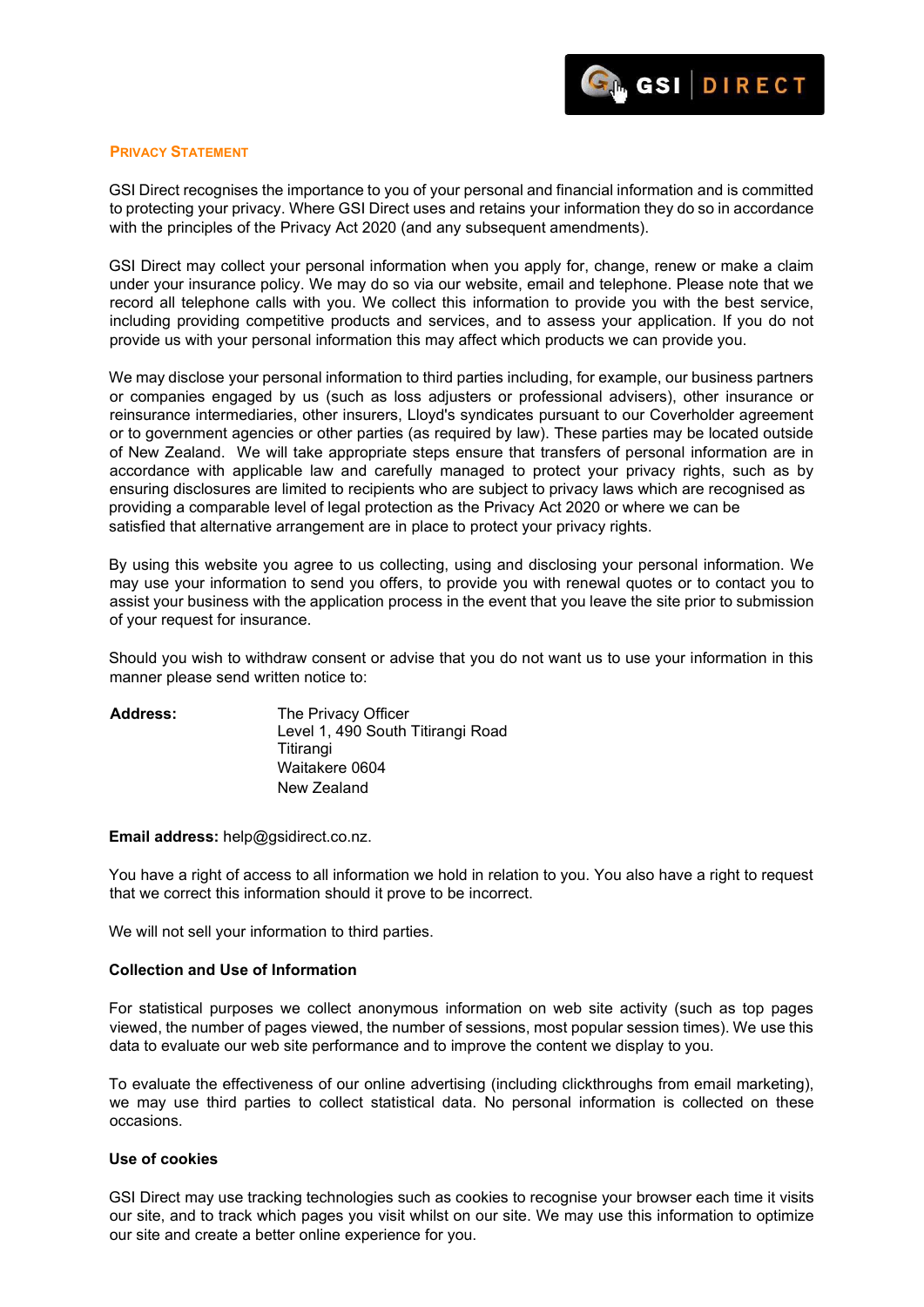

## **PRIVACY STATEMENT**

GSI Direct recognises the importance to you of your personal and financial information and is committed to protecting your privacy. Where GSI Direct uses and retains your information they do so in accordance with the principles of the Privacy Act 2020 (and any subsequent amendments).

GSI Direct may collect your personal information when you apply for, change, renew or make a claim under your insurance policy. We may do so via our website, email and telephone. Please note that we record all telephone calls with you. We collect this information to provide you with the best service, including providing competitive products and services, and to assess your application. If you do not provide us with your personal information this may affect which products we can provide you.

We may disclose your personal information to third parties including, for example, our business partners or companies engaged by us (such as loss adjusters or professional advisers), other insurance or reinsurance intermediaries, other insurers, Lloyd's syndicates pursuant to our Coverholder agreement or to government agencies or other parties (as required by law). These parties may be located outside of New Zealand. We will take appropriate steps ensure that transfers of personal information are in accordance with applicable law and carefully managed to protect your privacy rights, such as by ensuring disclosures are limited to recipients who are subject to privacy laws which are recognised as providing a comparable level of legal protection as the Privacy Act 2020 or where we can be satisfied that alternative arrangement are in place to protect your privacy rights.

By using this website you agree to us collecting, using and disclosing your personal information. We may use your information to send you offers, to provide you with renewal quotes or to contact you to assist your business with the application process in the event that you leave the site prior to submission of your request for insurance.

Should you wish to withdraw consent or advise that you do not want us to use your information in this manner please send written notice to:

| <b>Address:</b> | The Privacy Officer               |
|-----------------|-----------------------------------|
|                 | Level 1, 490 South Titirangi Road |
|                 | Titirangi                         |
|                 | Waitakere 0604                    |
|                 | New Zealand                       |

**Email address:** [help@gsidirect.co.nz.](mailto:help@gsidirect.co.nz)

You have a right of access to all information we hold in relation to you. You also have a right to request that we correct this information should it prove to be incorrect.

We will not sell your information to third parties.

## **Collection and Use of Information**

For statistical purposes we collect anonymous information on web site activity (such as top pages viewed, the number of pages viewed, the number of sessions, most popular session times). We use this data to evaluate our web site performance and to improve the content we display to you.

To evaluate the effectiveness of our online advertising (including clickthroughs from email marketing), we may use third parties to collect statistical data. No personal information is collected on these occasions.

## **Use of cookies**

GSI Direct may use tracking technologies such as cookies to recognise your browser each time it visits our site, and to track which pages you visit whilst on our site. We may use this information to optimize our site and create a better online experience for you.